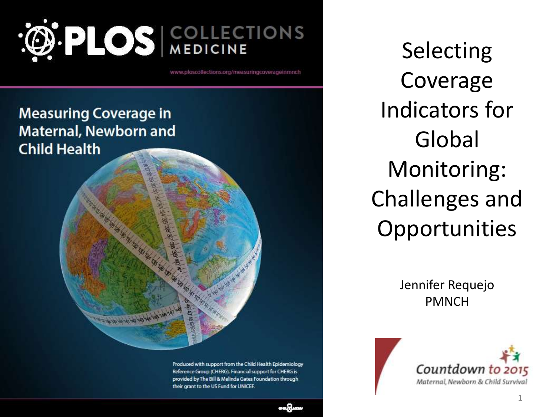

www.ploscollections.org/measuringcoverageinmnch

**Measuring Coverage in Maternal, Newborn and Child Health** 

ar ar prince p-

Produced with support from the Child Health Epidemiology Reference Group (CHERG). Financial support for CHERG is provided by The Bill & Melinda Gates Foundation through their grant to the US Fund for UNICEF.

Selecting Coverage Indicators for Global Monitoring: Challenges and **Opportunities** 

> Jennifer Requejo PMNCH



1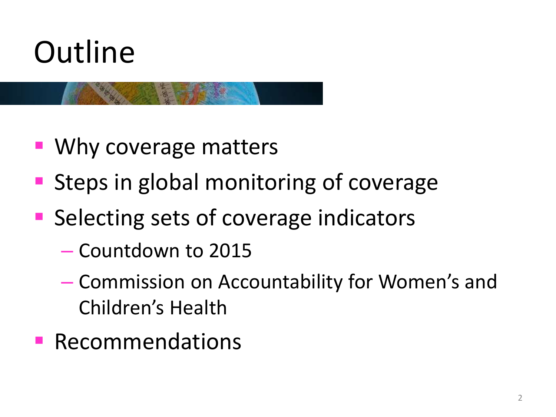

- **Why coverage matters**
- **Steps in global monitoring of coverage**
- **Selecting sets of coverage indicators** 
	- Countdown to 2015
	- Commission on Accountability for Women's and Children's Health
- **Recommendations**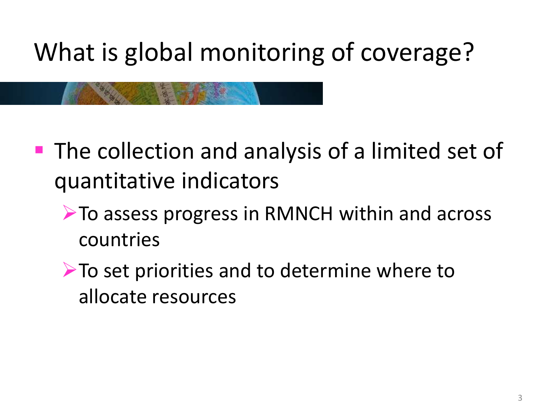# What is global monitoring of coverage?

- **The collection and analysis of a limited set of** quantitative indicators
	- ▶ To assess progress in RMNCH within and across countries
	- $\triangleright$  To set priorities and to determine where to allocate resources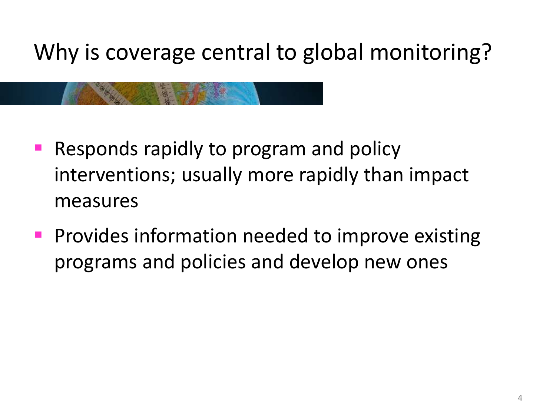Why is coverage central to global monitoring?

- Responds rapidly to program and policy interventions; usually more rapidly than impact measures
- **Provides information needed to improve existing** programs and policies and develop new ones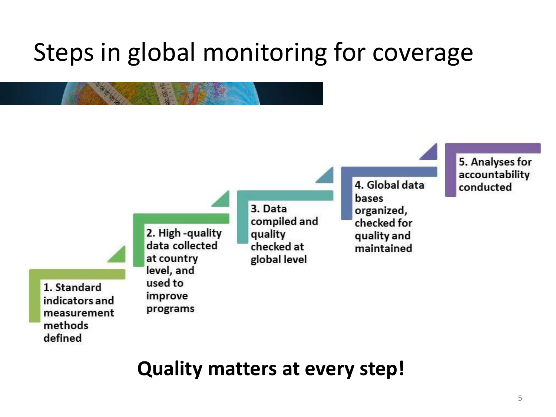# Steps in global monitoring for coverage



### **Quality matters at every step!**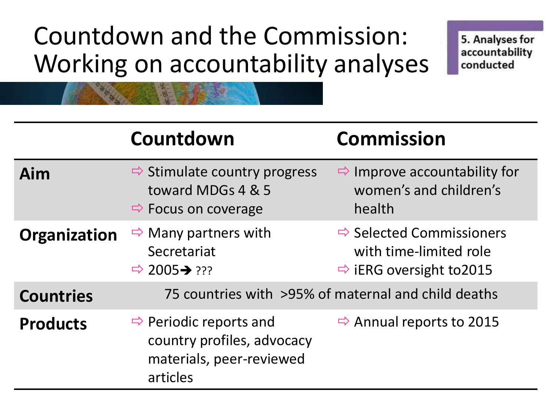# Countdown and the Commission: Working on accountability analyses

5. Analyses for accountability conducted

|                  | Countdown                                                                                                | <b>Commission</b>                                                                                      |
|------------------|----------------------------------------------------------------------------------------------------------|--------------------------------------------------------------------------------------------------------|
| Aim              | $\Rightarrow$ Stimulate country progress<br>toward MDGs 4 & 5<br>$\Rightarrow$ Focus on coverage         | $\Rightarrow$ Improve accountability for<br>women's and children's<br>health                           |
| Organization     | $\Rightarrow$ Many partners with<br>Secretariat<br>$\Rightarrow$ 2005 $\rightarrow$ ???                  | $\Rightarrow$ Selected Commissioners<br>with time-limited role<br>$\Rightarrow$ iERG oversight to 2015 |
| <b>Countries</b> | 75 countries with >95% of maternal and child deaths                                                      |                                                                                                        |
| <b>Products</b>  | $\Rightarrow$ Periodic reports and<br>country profiles, advocacy<br>materials, peer-reviewed<br>articles | $\Rightarrow$ Annual reports to 2015                                                                   |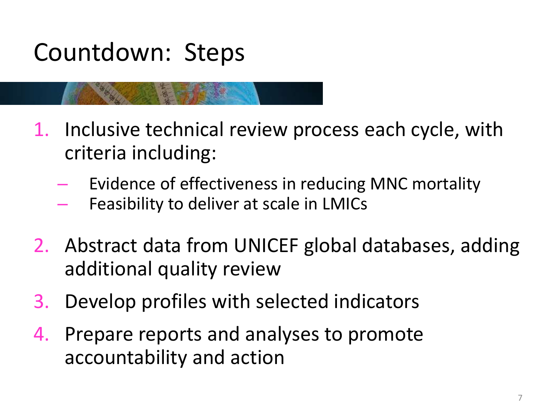## Countdown: Steps

- 1. Inclusive technical review process each cycle, with criteria including:
	- Evidence of effectiveness in reducing MNC mortality
	- Feasibility to deliver at scale in LMICs
- 2. Abstract data from UNICEF global databases, adding additional quality review
- 3. Develop profiles with selected indicators
- 4. Prepare reports and analyses to promote accountability and action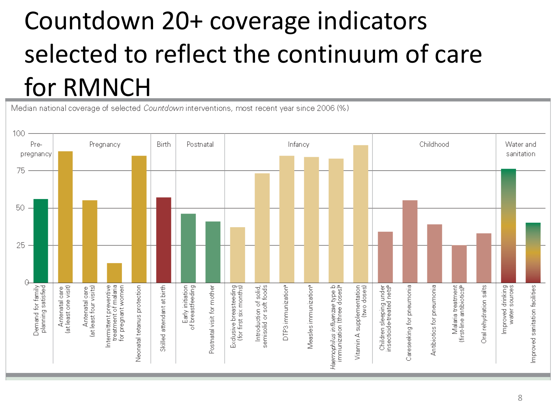# Countdown 20+ coverage indicators selected to reflect the continuum of care for RMNCH

Median national coverage of selected Countdown interventions, most recent year since 2006 (%)

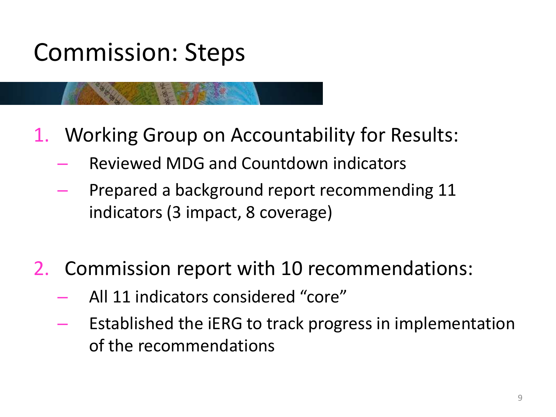## Commission: Steps

- 1. Working Group on Accountability for Results:
	- Reviewed MDG and Countdown indicators
	- Prepared a background report recommending 11 indicators (3 impact, 8 coverage)
- 2. Commission report with 10 recommendations:
	- All 11 indicators considered "core"
	- Established the iERG to track progress in implementation of the recommendations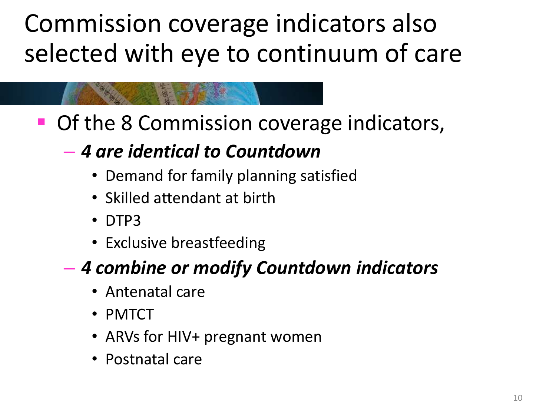Commission coverage indicators also selected with eye to continuum of care

■ Of the 8 Commission coverage indicators,

### – *4 are identical to Countdown*

- Demand for family planning satisfied
- Skilled attendant at birth
- DTP3
- Exclusive breastfeeding

### – *4 combine or modify Countdown indicators*

- Antenatal care
- PMTCT
- ARVs for HIV+ pregnant women
- Postnatal care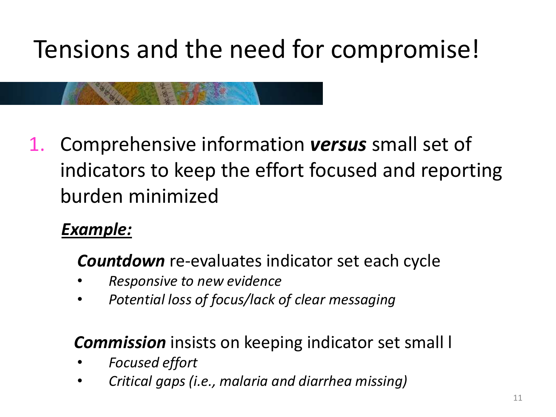# Tensions and the need for compromise!

1. Comprehensive information *versus* small set of indicators to keep the effort focused and reporting burden minimized

### *Example:*

*Countdown* re-evaluates indicator set each cycle

- *Responsive to new evidence*
- *Potential loss of focus/lack of clear messaging*

### *Commission* insists on keeping indicator set small l

- *Focused effort*
- *Critical gaps (i.e., malaria and diarrhea missing)*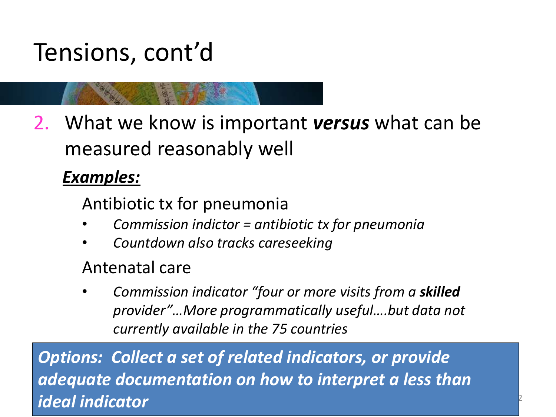## Tensions, cont'd

2. What we know is important *versus* what can be measured reasonably well

#### *Examples:*

Antibiotic tx for pneumonia

- *Commission indictor = antibiotic tx for pneumonia*
- *Countdown also tracks careseeking*

#### Antenatal care

• *Commission indicator "four or more visits from a skilled provider"…More programmatically useful….but data not currently available in the 75 countries*

<sup>2</sup>

*Options: Collect a set of related indicators, or provide adequate documentation on how to interpret a less than ideal indicator*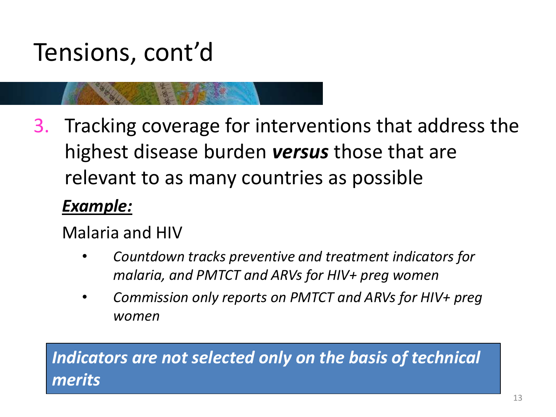## Tensions, cont'd

3. Tracking coverage for interventions that address the highest disease burden *versus* those that are relevant to as many countries as possible

#### *Example:*

Malaria and HIV

- *Countdown tracks preventive and treatment indicators for malaria, and PMTCT and ARVs for HIV+ preg women*
- *Commission only reports on PMTCT and ARVs for HIV+ preg women*

#### *Indicators are not selected only on the basis of technical merits*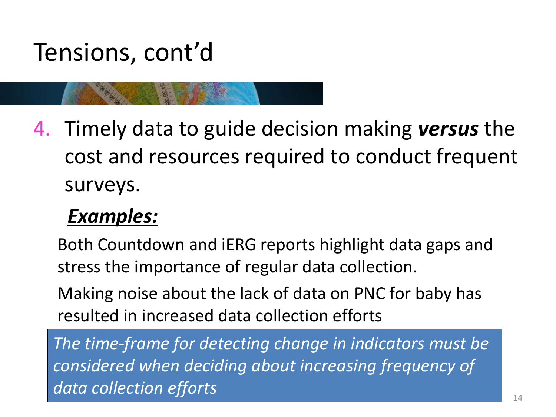### Tensions, cont'd

4. Timely data to guide decision making *versus* the cost and resources required to conduct frequent surveys.

### *Examples:*

Both Countdown and iERG reports highlight data gaps and stress the importance of regular data collection.

Making noise about the lack of data on PNC for baby has resulted in increased data collection efforts

*The time-frame for detecting change in indicators must be considered when deciding about increasing frequency of data collection efforts*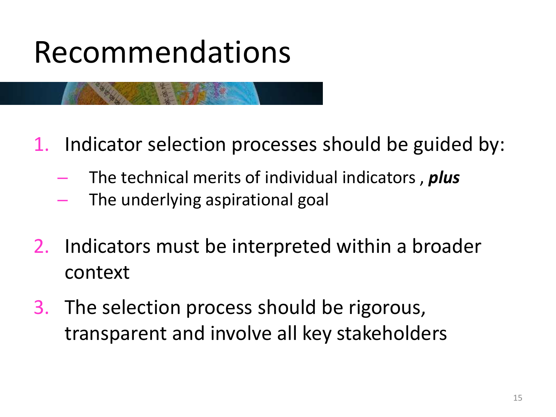# Recommendations

- 1. Indicator selection processes should be guided by:
	- The technical merits of individual indicators , *plus*
	- The underlying aspirational goal
- 2. Indicators must be interpreted within a broader context
- 3. The selection process should be rigorous, transparent and involve all key stakeholders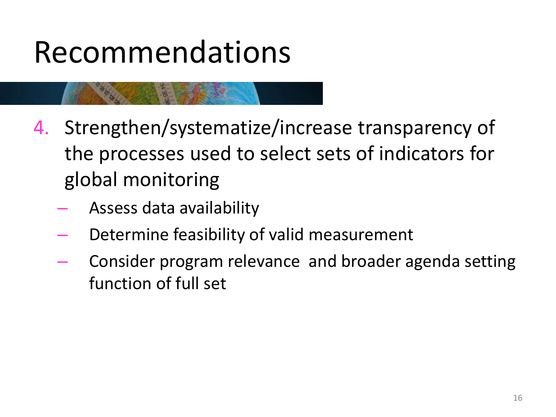# Recommendations

- 4. Strengthen/systematize/increase transparency of the processes used to select sets of indicators for global monitoring
	- Assess data availability
	- Determine feasibility of valid measurement
	- Consider program relevance and broader agenda setting function of full set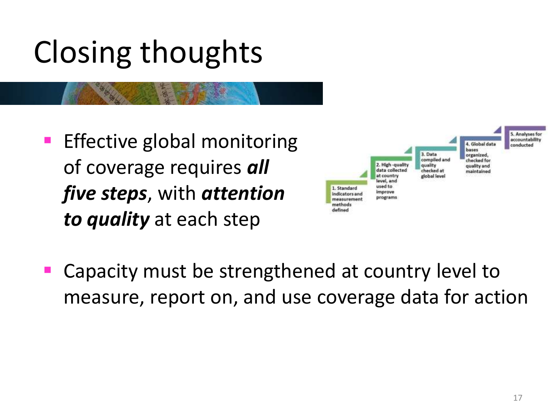# Closing thoughts

**Effective global monitoring** of coverage requires *all five steps*, with *attention to quality* at each step

卧



 Capacity must be strengthened at country level to measure, report on, and use coverage data for action